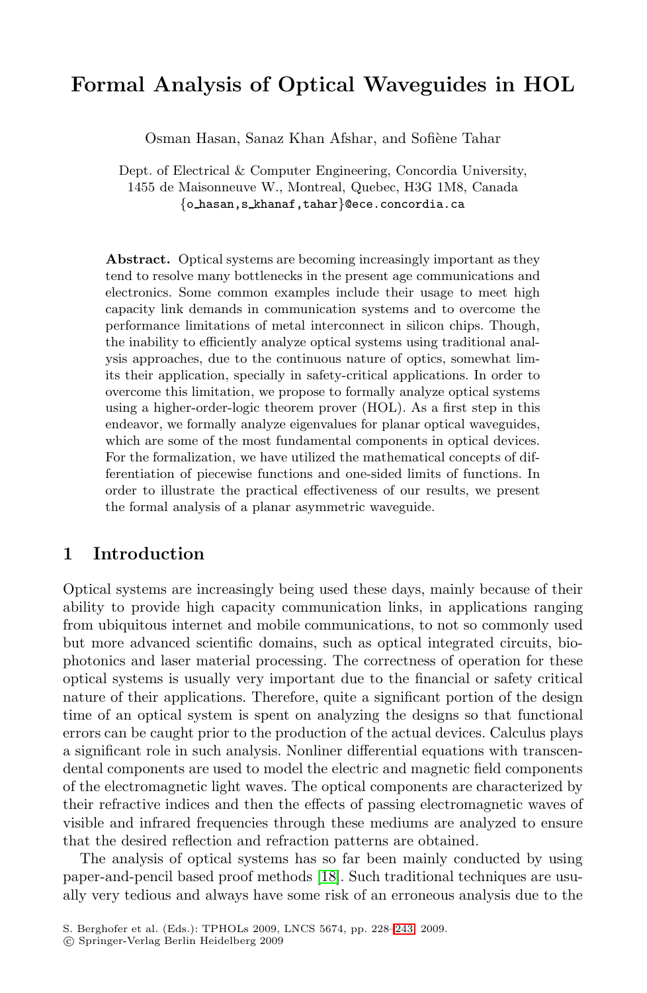# **Formal Analysis of Optical Waveguides in HOL**

Osman Hasan, Sanaz Khan Afshar, and Sofiène Tahar

Dept. of Electrical & Computer Engineering, Concordia University, 1455 de Maisonneuve W., Montreal, Quebec, H3G 1M8, Canada *{*<sup>o</sup> hasan,s khanaf,tahar*}*@ece.concordia.ca

**Abstract.** Optical systems are becoming increasingly important as they tend to resolve many bottlenecks in the present age communications and electronics. Some common examples include their usage to meet high capacity link demands in communication systems and to overcome the performance limitations of metal interconnect in silicon chips. Though, the inability to efficiently analyze optical systems using traditional analysis approaches, due to the continuous nature of optics, somewhat limits their application, specially in safety-critical applications. In order to overcome this limitation, we propose to formally analyze optical systems using a higher-order-logic theorem prover (HOL). As a first step in this endeavor, we formally analyze eigenvalues for planar optical waveguides, which are some of the most fundamental components in optical devices. For the formalization, we have utilized the mathematical concepts of differentiation of piecewise functions and one-sided limits of functions. In order to illustrate the practical effectiveness of our results, we present the formal analysis of a planar asymmetric waveguide.

### **1 Introduction**

Optical systems are increasingly being used these days, mainly because of their ability to provide high capacity communication links, in applications ranging from ubiquitous internet and mobile communications, to not so commonly used but more advanced scientific domains, such as optical integrated circuits, biophotonics and laser material processing. The correctness of operation for these optical systems is usually very important due to the financial or safety critical nature of their applications. Therefore, quite a significant portion of the design time of an optical system is spent on analyzing the designs so that functional errors can be caught [pri](#page-15-0)or to the production of the actual devices. Calculus plays a significant role in such analysis. Nonliner differential equations with transcendental components are used to model the electric and magnetic field components of the electromagnetic light wa[ves.](#page-15-1) The optical components are characterized by their refractive indices and then the effects of passing electromagnetic waves of visible and infrared frequencies through these mediums are analyzed to ensure that the desired reflection and refraction patterns are obtained.

The analysis of optical systems has so far been mainly conducted by using paper-and-pencil based proof methods [18]. Such traditional techniques are usually very tedious and always have some risk of an erroneous analysis due to the

S. Berghofer et al. (Eds.): TPHOLs 2009, LNCS 5674, pp. 228–243, 2009.

<sup>-</sup>c Springer-Verlag Berlin Heidelberg 2009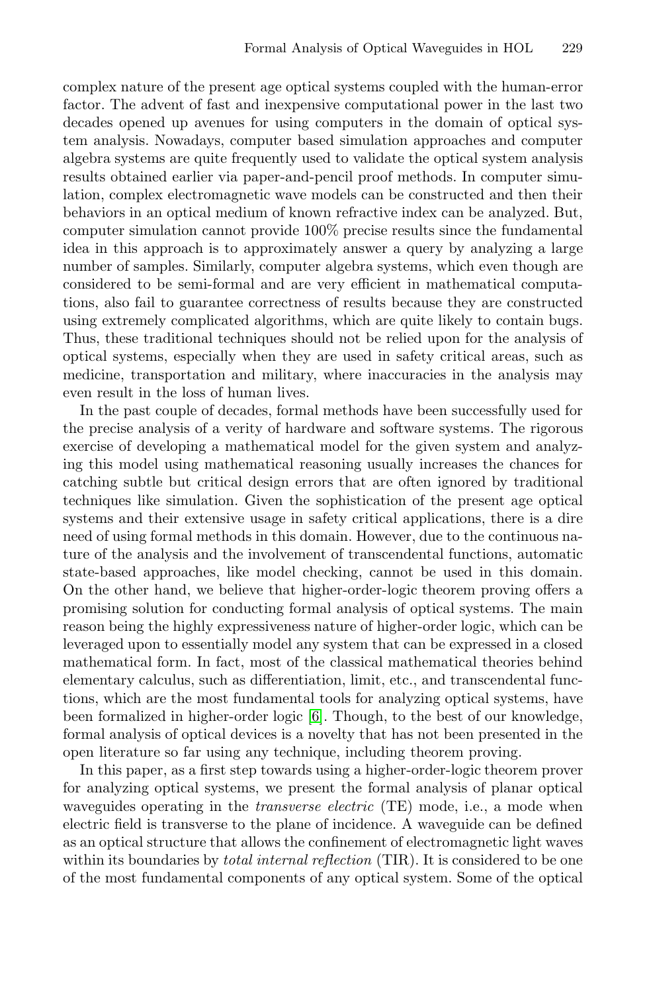complex nature of the present age optical systems coupled with the human-error factor. The advent of fast and inexpensive computational power in the last two decades opened up avenues for using computers in the domain of optical system analysis. Nowadays, computer based simulation approaches and computer algebra systems are quite frequently used to validate the optical system analysis results obtained earlier via paper-and-pencil proof methods. In computer simulation, complex electromagnetic wave models can be constructed and then their behaviors in an optical medium of known refractive index can be analyzed. But, computer simulation cannot provide 100% precise results since the fundamental idea in this approach is to approximately answer a query by analyzing a large number of samples. Similarly, computer algebra systems, which even though are considered to be semi-formal and are very efficient in mathematical computations, also fail to guarantee correctness of results because they are constructed using extremely complicated algorithms, which are quite likely to contain bugs. Thus, these traditional techniques should not be relied upon for the analysis of optical systems, especially when they are used in safety critical areas, such as medicine, transportation and military, where inaccuracies in the analysis may even result in the loss of human lives.

In the past couple of decades, formal methods have been successfully used for the precise analysis of a verity of hardware and software systems. The rigorous exercise of developing a mathematical model for the given system and analyzing this model using mathematical reasoning usually increases the chances for catching subtle but critical design errors that are often ignored by traditional techniques like simulation. Given the sophistication of the present age optical systems and their extensive usage in safety critical applications, there is a dire need of using formal methods in this domain. However, due to the continuous nature of the analysis and the involvement of transcendental functions, automatic state-based appro[ach](#page-15-2)es, like model checking, cannot be used in this domain. On the other hand, we believe that higher-order-logic theorem proving offers a promising solution for conducting formal analysis of optical systems. The main reason being the highly expressiveness nature of higher-order logic, which can be leveraged upon to essentially model any system that can be expressed in a closed mathematical form. In fact, most of the classical mathematical theories behind elementary calculus, such as differentiation, limit, etc., and transcendental functions, which are the most fundamental tools for analyzing optical systems, have been formalized in higher-order logic [6]. Though, to the best of our knowledge, formal analysis of optical devices is a novelty that has not been presented in the open literature so far using any technique, including theorem proving.

In this paper, as a first step towards using a higher-order-logic theorem prover for analyzing optical systems, we present the formal analysis of planar optical waveguides operating in the *transverse electric* (TE) mode, i.e., a mode when electric field is transverse to the plane of incidence. A waveguide can be defined as an optical structure that allows the confinement of electromagnetic light waves within its boundaries by *total internal reflection* (TIR). It is considered to be one of the most fundamental components of any optical system. Some of the optical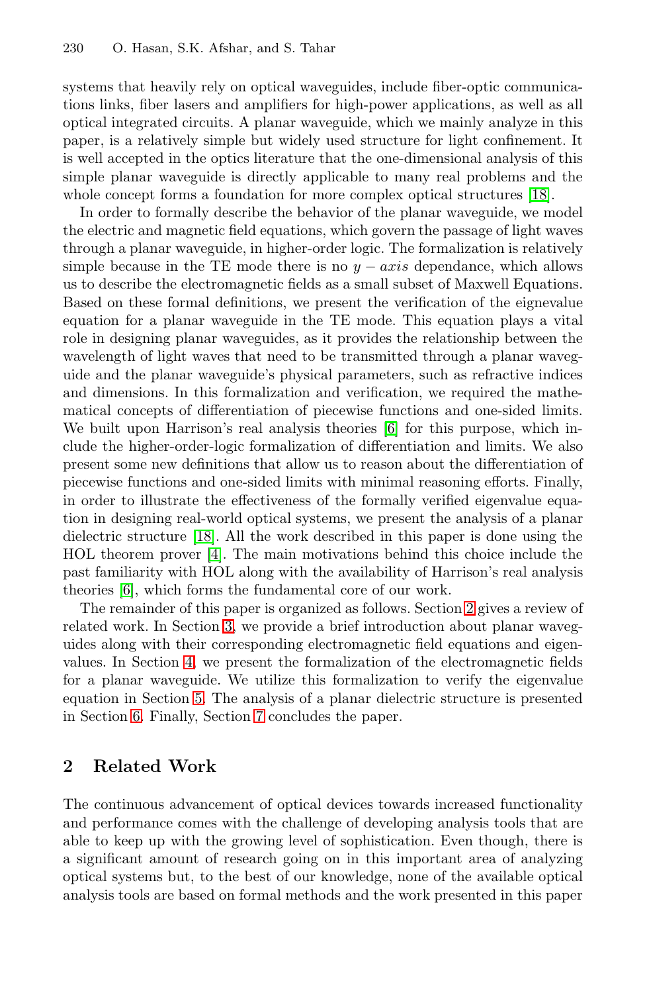systems that heavily rely on optical waveguides, include fiber-optic communications links, fiber lasers and amplifiers for high-power applications, as well as all optical integrated circuits. A planar waveguide, which we mainly analyze in this paper, is a relatively simple but widely used structure for light confinement. It is well accepted in the optics literature that the one-dimensional analysis of this simple planar waveguide is directly applicable to many real problems and the whole concept forms a foundation for more complex optical structures [18].

In order to formally describe the behavior of the planar waveguide, we model the electric and magnetic field equations, which govern the passage of light waves through a planar waveguide, in higher-order logic. The formalization is relatively simple because in the TE mode there is no  $y - axis$  dependance, which allows us to describe the electromagn[et](#page-15-2)ic fields as a small subset of Maxwell Equations. Based on these formal definitions, we present the verification of the eignevalue equation for a planar waveguide in the TE mode. This equation plays a vital role in designing planar waveguides, as it provides the relationship between the wavelength of light waves that need to be transmitted through a planar waveguide and the planar waveguide's physical parameters, such as refractive indices a[nd](#page-15-0) dimensions. In this formalization and verification, we required the mathema[tic](#page-15-3)al concepts of differentiation of piecewise functions and one-sided limits. We built upon Harrison's real analysis theories [6] for this purpose, which include the higher-order-logic formalization of differentiation and limits. We also present some new definitions that allow us [to](#page-2-0) reason about the differentiation of piece[wi](#page-4-0)se functions and one-sided limits with minimal reasoning efforts. Finally, in order to illustrate the effectiveness of the formally verified eigenvalue equa[ti](#page-7-0)on in designing real-world optical systems, we present the analysis of a planar dielectric structure [18]. All the work described in this paper is done using the [HO](#page-9-0)L theorem prover [4]. The main motivations behind this choice include the past famil[iar](#page-14-0)ity with HOL along with the availability of Harrison's real analysis theories [6], which forms the fundamental core of our work.

<span id="page-2-0"></span>The remainder of this paper is organized as follows. Section 2 gives a review of related work. In Section 3, we provide a brief introduction about planar waveguides along with their corresponding electromagnetic field equations and eigenvalues. In Section 4, we present the formalization of the electromagnetic fields for a planar waveguide. We utilize this formalization to verify the eigenvalue equation in Section 5. The analysis of a planar dielectric structure is presented in Section 6. Finally, Section 7 concludes the paper.

## **2 Related Work**

The continuous advancement of optical devices towards increased functionality and performance comes with the challenge of developing analysis tools that are able to keep up with the growing level of sophistication. Even though, there is a significant amount of research going on in this important area of analyzing optical systems but, to the best of our knowledge, none of the available optical analysis tools are based on formal methods and the work presented in this paper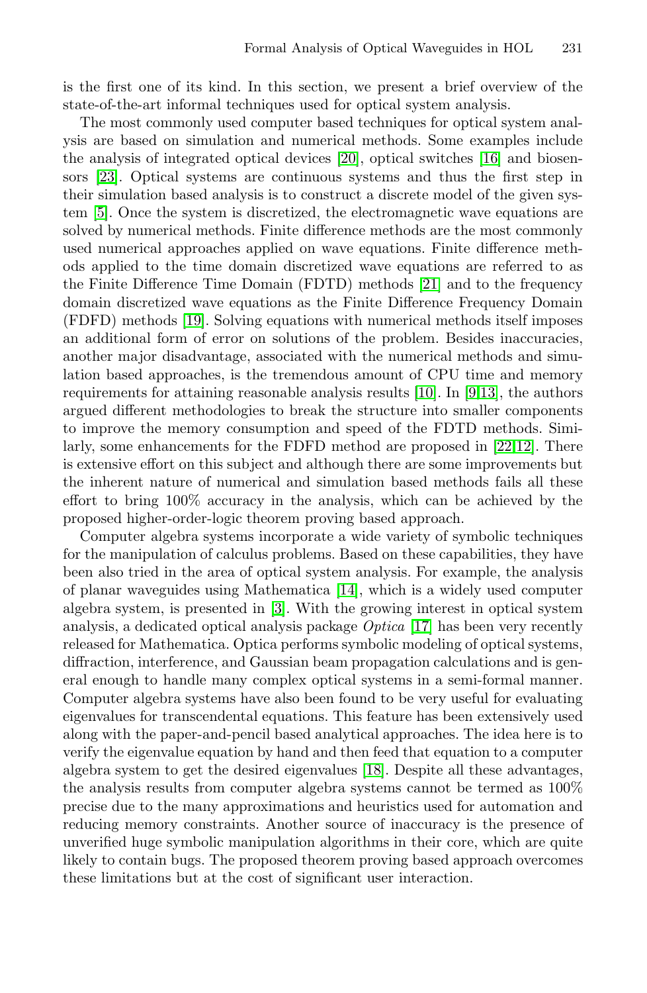is the first one of its kind. In this section, we present a brief overview of the state-of-the-art informal techniques used for optical system analysis.

The most commonly used computer based techniques for optical system analysis are based on simulation and [num](#page-15-4)erical methods. Some examples include the analysis of integrated optical devices [20], optical switches [16] and biosen[sor](#page-15-5)s [23]. Optical systems are continuous systems and thus the first step in their simulation based analysis is to construct a discrete model of the given system [5]. Once the system is discretized, the electromagnetic wave equations are solved by numerical methods. Finite difference methods are the most commonly used numerical approaches applie[d on](#page-15-6) wa[ve](#page-15-7) [eq](#page-15-8)uations. Finite difference methods applied to the time domain discretized wave equations are referred to as the Finite Difference Time Domain (FDTD) methods [21] and to the frequency domain discretized wave equations as the Fini[te](#page-15-9) [Diff](#page-15-10)erence Frequency Domain (FDFD) methods [19]. Solving equations with numerical methods itself imposes an additional form of error on solutions of the problem. Besides inaccuracies, another major disadvantage, associated with the numerical methods and simulation based approaches, is the tremendous amount of CPU time and memory requirements for attaining reasonable analysis results [10]. In [9,13], the authors argued different methodologies to break the structure into smaller components to improve the memory consumption and speed of the FDTD methods. Similarly, some enhanceme[nts](#page-15-11) for the FDFD method are proposed in [22,12]. There is extensive e[ffo](#page-15-12)rt on this subject and although there are some improvements but the inherent nature of numerical [and](#page-15-13) simulation based methods fails all these effort to bring 100% accuracy in the analysis, which can be achieved by the proposed higher-order-logic theorem proving based approach.

Computer algebra systems incorporate a wide variety of symbolic techniques for the manipulation of calculus problems. Based on these capabilities, they have been also tried in the area of optical system analysis. For example, the analysis of planar waveguides using Mathematica [14], which is a widely used computer algebra system, is presented in [3]. With the growing interest in optical system analysis, a dedicated optic[al a](#page-15-0)nalysis package *Optica* [17] has been very recently released for Mathematica. Optica performs symbolic modeling of optical systems, diffraction, interference, and Gaussian beam propagation calculations and is general enough to handle many complex optical systems in a semi-formal manner. Computer algebra systems have also been found to be very useful for evaluating eigenvalues for transcendental equations. This feature has been extensively used along with the paper-and-pencil based analytical approaches. The idea here is to verify the eigenvalue equation by hand and then feed that equation to a computer algebra system to get the desired eigenvalues [18]. Despite all these advantages, the analysis results from computer algebra systems cannot be termed as 100% precise due to the many approximations and heuristics used for automation and reducing memory constraints. Another source of inaccuracy is the presence of unverified huge symbolic manipulation algorithms in their core, which are quite likely to contain bugs. The proposed theorem proving based approach overcomes these limitations but at the cost of significant user interaction.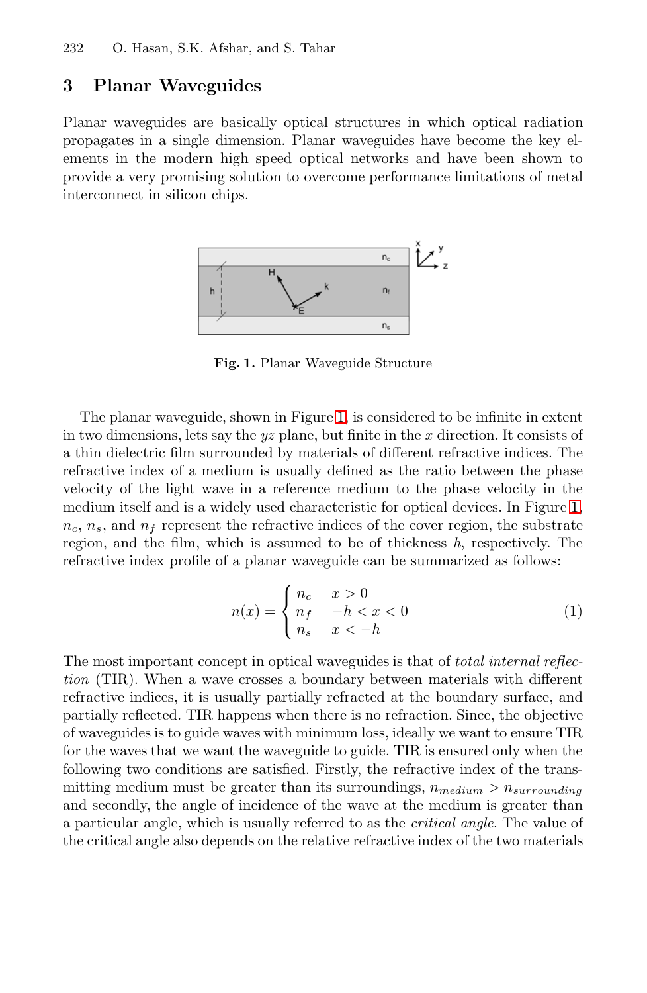# <span id="page-4-0"></span>**3 Planar Waveguides**

Planar waveguides are basically optical structures in which optical radiation propagates in a single dimension. Planar waveguides have become the key elements in the modern high speed optical networks and have been shown to provide a very promising solution to overcome performance limitations of metal interconnect in silicon chips.



**Fig. 1.** Planar Waveguide Structure

The planar waveguide, shown in Figure 1, is considered to be infinite in extent in two dimensions, lets say the *yz* plane, but finite in the *x* direction. It consists of a thin dielectric film surrounded by materials of different refractive indices. The refractive index of a medium is usually defined as the ratio between the phase velocity of the light wave in a reference medium to the phase velocity in the medium itself and is a widely used characteristic for optical devices. In Figure 1,  $n_c$ ,  $n_s$ , and  $n_f$  represent the refractive indices of the cover region, the substrate region, and the film, which is assumed to be of thickness *h*, respectively. The refractive index profile of a planar waveguide can be summarized as follows:

$$
n(x) = \begin{cases} n_c & x > 0 \\ n_f & -h < x < 0 \\ n_s & x < -h \end{cases}
$$
 (1)

The most important concept in optical waveguides is that of *total internal reflection* (TIR). When a wave crosses a boundary between materials with different refractive indices, it is usually partially refracted at the boundary surface, and partially reflected. TIR happens when there is no refraction. Since, the objective of waveguides is to guide waves with minimum loss, ideally we want to ensure TIR for the waves that we want the waveguide to guide. TIR is ensured only when the following two conditions are satisfied. Firstly, the refractive index of the transmitting medium must be greater than its surroundings,  $n_{medium} > n_{surrounding}$ and secondly, the angle of incidence of the wave at the medium is greater than a particular angle, which is usually referred to as the *critical angle*. The value of the critical angle also depends on the relative refractive index of the two materials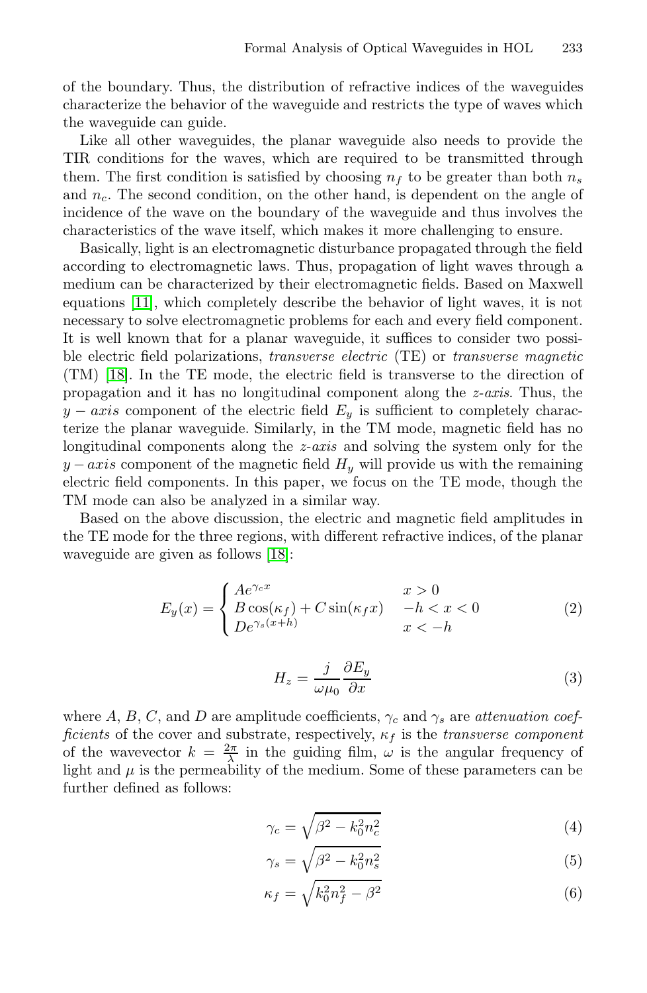of the boundary. Thus, the distribution of refractive indices of the waveguides characterize the behavior of the waveguide and restricts the type of waves which the waveguide can guide.

Like all other waveguides, the planar waveguide also needs to provide the TIR conditions for the waves, which are required to be transmitted through them. The first condition is satisfied by choosing  $n_f$  to be greater than both  $n_s$ and  $n_c$ . The second condition, on the other hand, is dependent on the angle of incidence of the wave on the boundary of the waveguide and thus involves the characteristics of the wave itself, which makes it more challenging to ensure.

Basically, light is an electromagnetic disturbance propagated through the field according to electromagnetic laws. Thus, propagation of light waves through a medium can be characterized by their electromagnetic fields. Based on Maxwell equations [11], which completely describe the behavior of light waves, it is not necessary to solve electromagnetic problems for each and every field component. It is well known that for a planar waveguide, it suffices to consider two possible electric field polarizations, *transverse electric* (TE) or *transverse magnetic* (TM) [18]. In the TE mode, the electric field is transverse to the direction of propagation and it has no longitudinal component along the *z-axis*. Thus, the  $y - axis$  co[mpo](#page-15-0)nent of the electric field  $E_y$  is sufficient to completely characterize the planar waveguide. Similarly, in the TM mode, magnetic field has no longitudinal components along the *z-axis* and solving the system only for the  $y - axis$  component of the magnetic field  $H_y$  will provide us with the remaining electric field components. In this paper, we focus on the TE mode, though the TM mode can also be analyzed in a similar way.

<span id="page-5-0"></span>Based on the above discussion, the electric and magnetic field amplitudes in the TE mode for the three regions, with different refractive indices, of the planar waveguide are given as follows [18]:

<span id="page-5-1"></span>
$$
E_y(x) = \begin{cases} Ae^{\gamma_c x} & x > 0\\ B\cos(\kappa_f) + C\sin(\kappa_f x) & -h < x < 0\\ De^{\gamma_s(x+h)} & x < -h \end{cases}
$$
(2)

$$
H_z = \frac{j}{\omega \mu_0} \frac{\partial E_y}{\partial x} \tag{3}
$$

where A, B, C, and D are amplitude coefficients,  $\gamma_c$  and  $\gamma_s$  are *attenuation coefficients* of the cover and substrate, respectively,  $\kappa_f$  is the *transverse component* of the wavevector  $k = \frac{2\pi}{\lambda}$  in the guiding film,  $\omega$  is the angular frequency of light and  $\mu$  is the permeability of the medium. Some of these parameters can be further defined as follows:

$$
\gamma_c = \sqrt{\beta^2 - k_0^2 n_c^2} \tag{4}
$$

$$
\gamma_s = \sqrt{\beta^2 - k_0^2 n_s^2} \tag{5}
$$

$$
\kappa_f = \sqrt{k_0^2 n_f^2 - \beta^2} \tag{6}
$$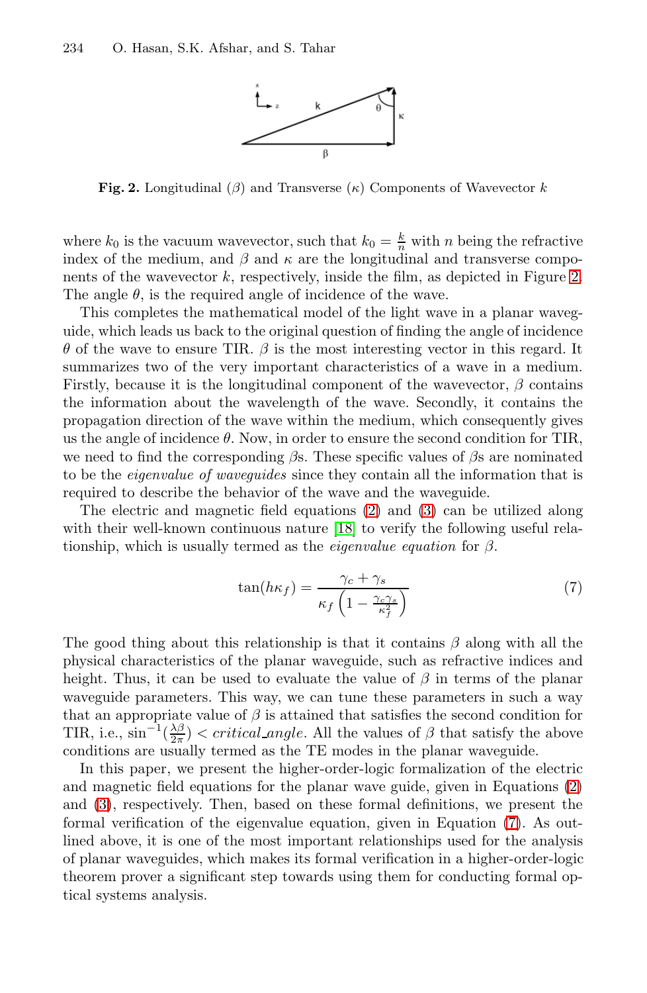

**Fig. 2.** Longitudinal  $(\beta)$  and Transverse  $(\kappa)$  Components of Wavevector k

where  $k_0$  is the vacuum wavevector, such that  $k_0 = \frac{k}{n}$  with n being the refractive index of the medium, and  $\beta$  and  $\kappa$  are the longitudinal and transverse components of the wavevector  $k$ , respectively, inside the film, as depicted in Figure 2. The angle  $\theta$ , is the required angle of incidence of the wave.

This completes the mathematical model of the light wave in a planar waveguide, which leads us back to the original question of finding the angle of incidence θ of the wave to ensure TIR. β is the most interesting vector in this regard. It summarizes two of the ver[y](#page-5-0) import[an](#page-5-1)t characteristics of a wave in a medium. Firstly, because it is t[he l](#page-15-0)ongitudinal component of the wavevector,  $\beta$  contains the information about the wavelength of the wave. Secondly, it contains the propagation direction of the wave within the medium, which consequently gives us the angle of incidence  $\theta$ . Now, in order to ensure the second condition for TIR, we need to find the corresponding  $\beta s$ . These specific values of  $\beta s$  are nominated to be the *eigenvalue of waveguides* since they contain all the information that is required to describe the behavior of the wave and the waveguide.

<span id="page-6-0"></span>The electric and magnetic field equations (2) and (3) can be utilized along with their well-known continuous nature [18] to verify the following useful relationship, which is usually termed as the *eigenvalue equation* for β.

$$
\tan(h\kappa_f) = \frac{\gamma_c + \gamma_s}{\kappa_f \left(1 - \frac{\gamma_c \gamma_s}{\kappa_f^2}\right)}\tag{7}
$$

The good thing about this relationship is that it contains  $\beta$  along with all the physical characteristics of the planar waveguide, such as refractive indices and height. Thus, it can be used to evaluate the val[ue](#page-6-0) of  $\beta$  in terms of the planar waveguide parameters. This way, we can tune these parameters in such a way that an appropriate value of  $\beta$  is attained that satisfies the second condition for TIR, i.e.,  $\sin^{-1}(\frac{\lambda\beta}{2\pi})$  < critical angle. All the values of  $\beta$  that satisfy the above conditions are usually termed as the TE modes in the planar waveguide.

In this paper, we present the higher-order-logic formalization of the electric and magnetic field equations for the planar wave guide, given in Equations (2) and (3), respectively. Then, based on these formal definitions, we present the formal verification of the eigenvalue equation, given in Equation (7). As outlined above, it is one of the most important relationships used for the analysis of planar waveguides, which makes its formal verification in a higher-order-logic theorem prover a significant step towards using them for conducting formal optical systems analysis.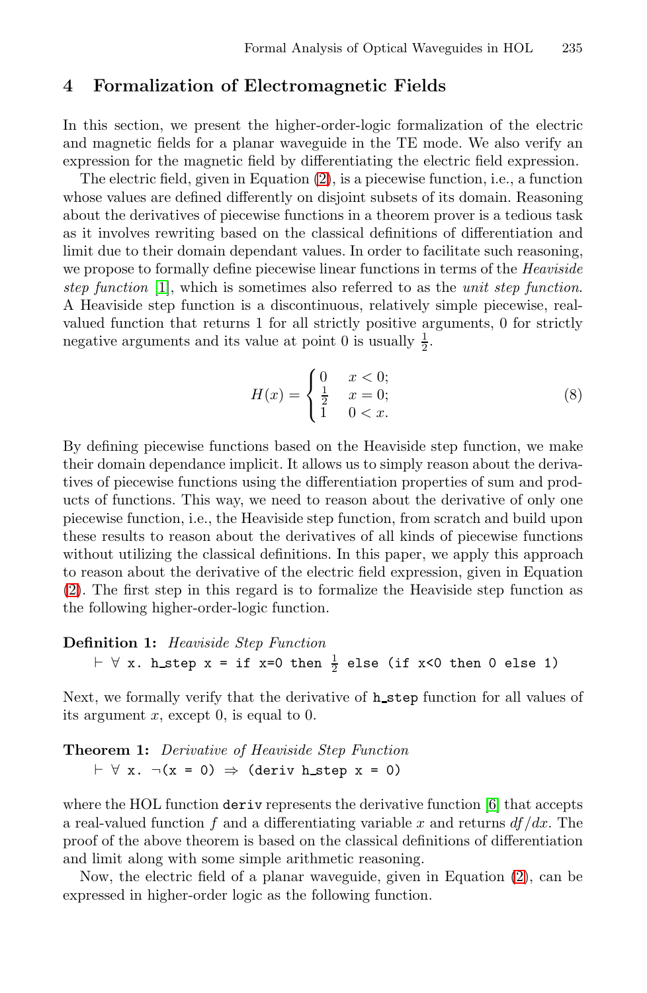### <span id="page-7-0"></span>**4 Formalization of Electromagnetic Fields**

In this section, we present the higher-order-logic formalization of the electric and magnetic fields for a planar waveguide in the TE mode. We also verify an expression for the magnetic field by differentiating the electric field expression.

The electric field, given in Equation (2), is a piecewise function, i.e., a function whose values are defined differently on disjoint subsets of its domain. Reasoning about the derivatives of piecewise functions in a theorem prover is a tedious task as it involves rewriting based on the classical definitions of differentiation and limit due to their domain dependant values. In order to facilitate such reasoning, we propose to formally define piecewise linear functions in terms of the *Heaviside step function* [1], which is sometimes also referred to as the *unit step function*. A Heaviside step function is a discontinuous, relatively simple piecewise, realvalued function that returns 1 for all strictly positive arguments, 0 for strictly negative arguments and its value at point 0 is usually  $\frac{1}{2}$ .

$$
H(x) = \begin{cases} 0 & x < 0; \\ \frac{1}{2} & x = 0; \\ 1 & 0 < x. \end{cases}
$$
 (8)

By defining piecewise functions based on the Heaviside step function, we make their domain dependance implicit. It allows us to simply reason about the derivatives of piecewise functions using the differentiation properties of sum and products of functions. This way, we need to reason about the derivative of only one piecewise function, i.e., the Heaviside step function, from scratch and build upon these results to reason about the derivatives of all kinds of piecewise functions without utilizing the classical definitions. In this paper, we apply this approach to reason about the derivative of the electric field expression, given in Equation (2). The first step in this regard is to formalize the Heaviside step function as the following higher-order-logic function.

# **Definition 1:** *Heaviside Step Function*  $\vdash \forall$  x. h\_step x = if x=0 then  $\frac{1}{2}$  el[se](#page-15-2) (if x<0 then 0 else 1)

Next, we formally verify that the derivative of **h**\_step function for all values of its argument  $x$ , except 0, is equal to 0.

# **Theorem 1:** *Derivative of Heaviside Step Funct[ion](#page-5-0)*  $\vdash \forall x. \neg(x = 0) \Rightarrow$  (deriv h\_step x = 0)

where the HOL function deriv represents the derivative function [6] that accepts a real-valued function f and a differentiating variable x and returns  $df/dx$ . The proof of the above theorem is based on the classical definitions of differentiation and limit along with some simple arithmetic reasoning.

Now, the electric field of a planar waveguide, given in Equation (2), can be expressed in higher-order logic as the following function.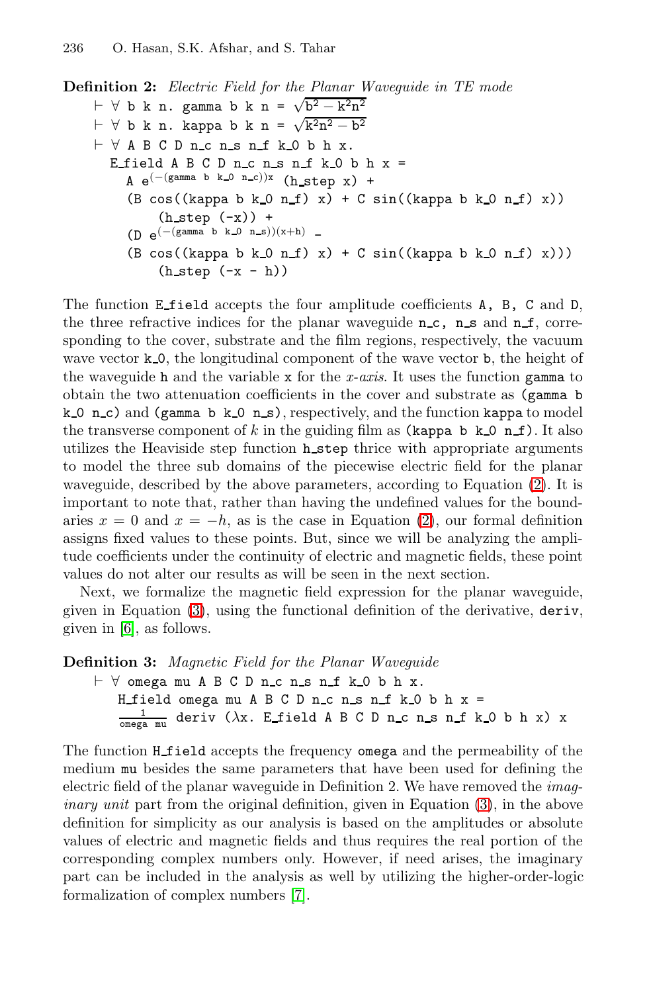**Definition 2:** *Electric Field for the Planar Waveguide in TE mode*  $\vdash$  ∀ b k n. gamma b k n =  $\sqrt{b^2 - k^2n^2}$  $\vdash$  ∀ b k n. kappa b k n =  $\sqrt{k^2 n^2 - b^2}$  $\vdash \forall A B C D n_{\neg} c n_{\neg} s n_{\neg} f k_{\neg} 0 b n x.$ E field A B C D n c n s n f k 0 b h  $x =$  $A e^{-\left((\text{gamma } b k_0 n_c)\right)x}$  (h\_step x) +  $(B \cos((\text{kappa b k.0 n.f}) x) + C \sin((\text{kappa b k.0 n.f}) x))$  $(h_{\text{step}}(-x))$  +  $(D \ e^{(- (gamma b \ h_0 b \ h_0) (x+h)) - (x+h))}$  $(B \cos((\text{kappa b k 0 n f) x) + C \sin((\text{kappa b k 0 n f) x}))$  $(h_step (-x - h))$ 

The function E field accepts the four amplitude coefficients A, B, C and D, the three refractive indices for the planar waveguide  $n_c$ ,  $n_s$  and  $n_f$ , corresponding to the cover, substrate and the film region[s,](#page-5-0) respectively, the vacuum wave vector  $k_0$ , the longitudinal component of the wave vector b, the height of the waveguide h and the variable x [fo](#page-5-0)r the *x-axis*. It uses the function gamma to obtain the two attenuation coefficients in the cover and substrate as (gamma b k 0 n c) and (gamma b k 0 n s), respectively, and the function kappa to model the transverse component of k in the guiding film as (kappa b k  $\Omega$  n f). It also utilizes the Heaviside step function **h\_step** thrice with appropriate arguments [to](#page-5-1) model the three sub domains of the piecewise electric field for the planar waveguide, described by the above parameters, according to Equation (2). It is important to note that, rather than having the undefined values for the boundaries  $x = 0$  and  $x = -h$ , as is the case in Equation (2), our formal definition assigns fixed values to these points. But, since we will be analyzing the amplitude coefficients under the continuity of electric and magnetic fields, these point values do not alter our results as will be seen in the next section.

Next, we formalize the magnetic field expression for the planar waveguide, given in Equation (3), using the functional definition of the derivative, deriv, given in [6], as follows.

**Definition 3:** *Magnetic Field for the Plan[ar](#page-5-1) Waveguide*

```
\vdash \forall omega mu A B C D n_c n_s n_f k_0 b h x.
   H_field omega mu A B C D n_c n_s n_f k_0 b h x=\frac{1}{\text{omega max}} deriv (\lambdax. E_field A B C D n_c n_s n_f k_0 b h x) x
```
The function H [fi](#page-15-14)eld accepts the frequency omega and the permeability of the medium mu besides the same parameters that have been used for defining the electric field of the planar waveguide in Definition 2. We have removed the *imaginary unit* part from the original definition, given in Equation (3), in the above definition for simplicity as our analysis is based on the amplitudes or absolute values of electric and magnetic fields and thus requires the real portion of the corresponding complex numbers only. However, if need arises, the imaginary part can be included in the analysis as well by utilizing the higher-order-logic formalization of complex numbers [7].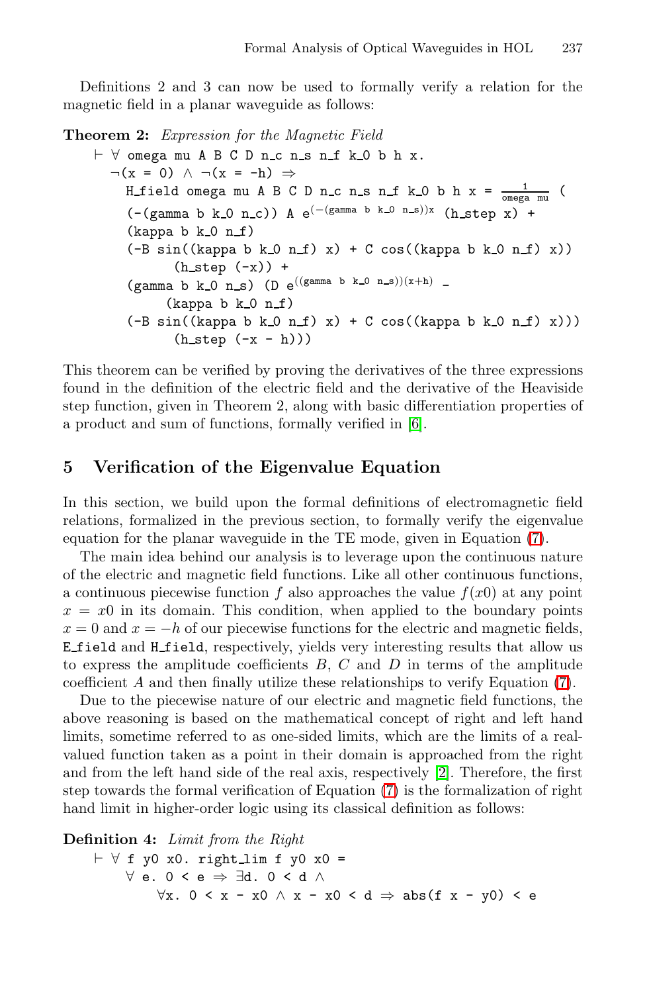Definitions 2 and 3 can now be used to formally verify a relation for the magnetic field in a planar waveguide as follows:

**Theorem 2:** *Expression for the Magnetic Field*

- ∀ omega muABCDn c n s n f k 0 b h x.  $\neg(x = 0) \land \neg(x = -h) \Rightarrow$ H\_field omega mu A B C D n\_c n\_s n\_f k\_0 b h x =  $\frac{1}{\text{omega max}}$  (  $(-(\text{gamma b k.0 n.c}))$  A  $e^{(-(\text{gamma b k.0 n.s)})x}$  (h\_step x) +  $(kappa b k_0 n_f)$  $(-B \sin((\text{kappa} b k.0 n.f) x) + C \cos((\text{kappa} b k.0 n.f) x))$  $(h_step (-x)) +$  $\text{(gamma b k_0 n_s) (D e^{\left((\text{gamma b k_0 n_s) (x + h)}\right)} - \text{gamma b})}$  $\text{(gamma b k_0 n_s) (D e^{\left((\text{gamma b k_0 n_s) (x + h)}\right)} - \text{gamma b})}$  $\text{(gamma b k_0 n_s) (D e^{\left((\text{gamma b k_0 n_s) (x + h)}\right)} - \text{gamma b})}$  $(kappa b k_0 n_f)$  $(-B \sin((\text{kappa } b k.0 n.f) x) + C \cos((\text{kappa } b k.0 n.f) x)))$  $(h\_step (-x - h)))$ 

<span id="page-9-0"></span>This theorem can be verified by proving the derivatives of the three expressions found in the definition of the electric field and the derivative of the Heaviside step function, given in Theorem 2, along with basic [diff](#page-6-0)erentiation properties of a product and sum of functions, formally verified in [6].

### **5 Verification of the Eigenvalue Equation**

In this section, we build upon the formal definitions of electromagnetic field relations, formalized in the previous section, to formally verify the eigenvalue equation for the planar waveguide in the TE mode, give[n i](#page-6-0)n Equation (7).

The main idea behind our analysis is to leverage upon the continuous nature of the electric and magnetic field functions. Like all other continuous functions, a continuous piecewise function f also approaches the value  $f(x0)$  at any point  $x = x0$  in its domain. This condition, when applied to the boundary points  $x = 0$  and  $x = -h$  of our piecewise fun[ct](#page-15-15)ions for the electric and magnetic fields, E field and H field, respect[ive](#page-6-0)ly, yields very interesting results that allow us to express the amplitude coefficients  $B, C$  and  $D$  in terms of the amplitude coefficient A and then finally utilize these relationships to verify Equation (7).

Due to the piecewise nature of our electric and magnetic field functions, the above reasoning is based on the mathematical concept of right and left hand limits, sometime referred to as one-sided limits, which are the limits of a realvalued function taken as a point in their domain is approached from the right and from the left hand side of the real axis, respectively [2]. Therefore, the first step towards the formal verification of Equation (7) is the formalization of right hand limit in higher-order logic using its classical definition as follows:

**Definition 4:** *Limit from the Right*

$$
\vdash \forall \text{ f } y0 \text{ x0. right\_lim f } y0 \text{ x0 } =
$$
\n
$$
\forall \text{ e. } 0 < \text{ e } \Rightarrow \exists \text{ d. } 0 < \text{ d } \land
$$
\n
$$
\forall x. \ 0 < x - x0 \land x - x0 < \text{ d } \Rightarrow \text{ abs}(f x - y0) < \text{ e }
$$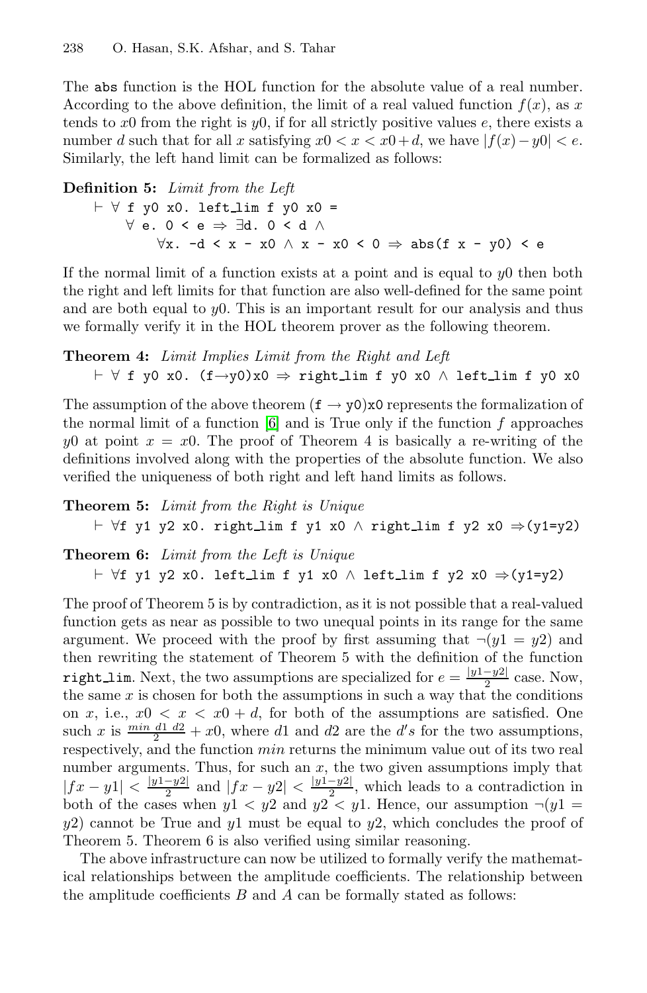The abs function is the HOL function for the absolute value of a real number. According to the above definition, the limit of a real valued function  $f(x)$ , as x tends to x0 from the right is y0, if for all strictly positive values e, there exists a number d such that for all x satisfying  $x0 < x < x0 + d$ , we have  $|f(x)-y0| < e$ . Similarly, the left hand limit can be formalized as follows:

# **Definition 5:** *Limit from the Left* - ∀ f y0 x0. left lim f y0 x0 = ∀ e. 0 < e ⇒ ∃d. 0 < d ∧  $\forall x. -d < x - x0 \land x - x0 < 0 \Rightarrow abs(f x - y0) < e$

If the normal limit of a function exists at a point and is equal to  $y0$  then both the right an[d](#page-15-2) [l](#page-15-2)eft limits for that function are also well-defined for the same point and are both equal to  $y_0$ . This is an important result for our analysis and thus we formally verify it in the HOL theorem prover as the following theorem.

# **Theorem 4:** *Limit Implies Limit from the Right and Left* - ∀ f y0 x0. (f→y0)x0 ⇒ right lim f y0 x0 ∧ left lim f y0 x0

The assumption of the above theorem  $(f \rightarrow y_0)x_0$  represents the formalization of the normal limit of a function  $[6]$  and is True only if the function f approaches y0 at point  $x = x0$ . The proof of Theorem 4 is basically a re-writing of the definitions involved along with the properties of the absolute function. We also verified the uniqueness of both right and left hand limits as follows.

**Theorem 5:** *Limit from the Right is Unique* - ∀f y1 y2 x0. right lim f y1 x0 ∧ right lim f y2 x0 ⇒(y1=y2)

# **Theorem 6:** *Limit from the Left is Unique* - ∀f y1 y2 x0. left lim f y1 x0 ∧ left lim f y2 x0 ⇒(y1=y2)

The proof of Theorem 5 is by contradiction, as it is not possible that a real-valued function gets as near as possible to two unequal points in its range for the same argument. We proceed with the proof by first assuming that  $\neg(y1 = y2)$  and then rewriting the statement of Theorem 5 with the definition of the function right\_lim. Next, the two assumptions are specialized for  $e = \frac{|y_1 - y_2|}{2}$  case. Now, the same x is chosen for both the assumptions in such a way that the conditions on x, i.e.,  $x0 \le x \le x0 + d$ , for both of the assumptions are satisfied. One such x is  $\frac{min \ d1 \ d2}{2} + x0$ , where d1 and d2 are the d's for the two assumptions, respectively, and the function min returns the minimum value out of its two real number arguments. Thus, for such an  $x$ , the two given assumptions imply that  $|fx - y1| < \frac{|y_1 - y_2|}{2}$  and  $|fx - y_2| < \frac{|y_1 - y_2|}{2}$ , which leads to a contradiction in both of the cases when  $y_1 < y_2$  and  $y_2 < y_1$ . Hence, our assumption  $\neg(y_1)$  $y2$ ) cannot be True and  $y1$  must be equal to  $y2$ , which concludes the proof of Theorem 5. Theorem 6 is also verified using similar reasoning.

The above infrastructure can now be utilized to formally verify the mathematical relationships between the amplitude coefficients. The relationship between the amplitude coefficients  $B$  and  $A$  can be formally stated as follows: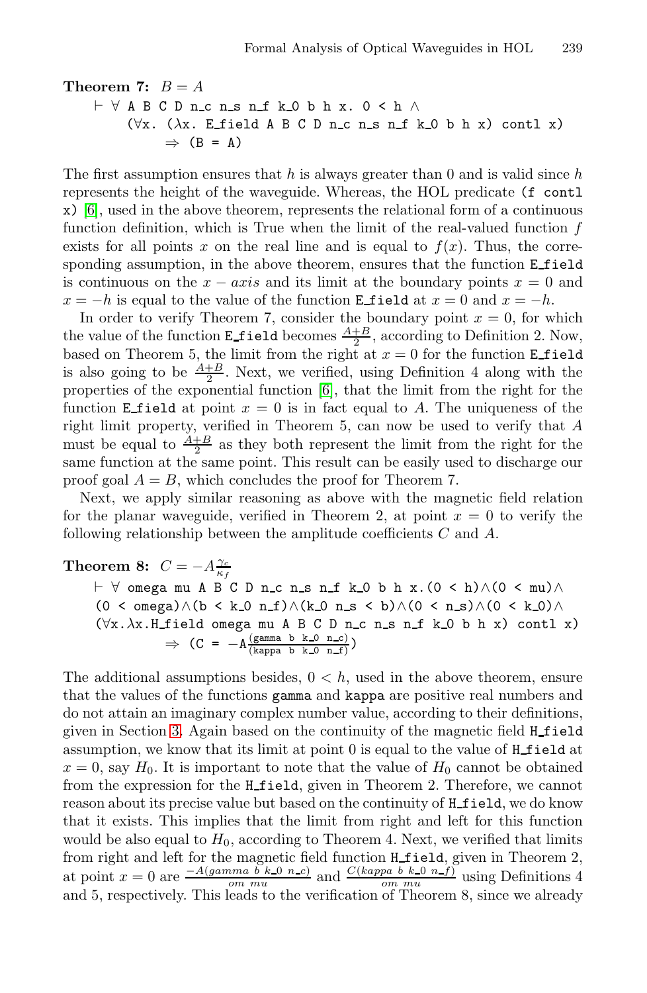## **Theorem 7:**  $B = A$ - ∀ ABCDn c n s n f k 0 b h x. 0 < h ∧ ( $\forall x$ . ( $\lambda x$ . E\_field A B C D n\_c n\_s n\_f k\_0 b h x) contl x)  $\Rightarrow$  (B = A)

The first assumption ensures that h is always greater than 0 and is valid since h represents the height of the waveguide. Whereas, the HOL predicate (f contl x) [6], used in the above theorem, represents the relational form of a continuous function definition, which is True when the limit of the real-valued function f e[x](#page-15-2)ists for all points x on the real line and is equal to  $f(x)$ . Thus, the corresponding assumption, in the above theorem, ensures that the function E field is continuous on the  $x - axis$  and its limit at the boundary points  $x = 0$  and  $x = -h$  is equal to the value of the function **E** field at  $x = 0$  and  $x = -h$ .

In order to verify Theorem 7, consider the boundary point  $x = 0$ , for which the value of the function **E**field becomes  $\frac{A+B}{2}$ , according to Definition 2. Now, based on Theorem 5, the limit from the right at  $x = 0$  for the function **E** field is also going to be  $\frac{A+B}{2}$ . Next, we verified, using Definition 4 along with the properties of the exponential function [6], that the limit from the right for the function E field at point  $x = 0$  is in fact equal to A. The uniqueness of the right limit property, verified in Theorem 5, can now be used to verify that A must be equal to  $\frac{A+B}{2}$  as they both represent the limit from the right for the same function at the same point. This result can be easily used to discharge our proof goal  $A = B$ , which concludes the proof for Theorem 7.

Next, we apply similar reasoning as above with the magnetic field relation for the planar waveguide, verified in Theorem 2, at point  $x = 0$  to verify the following relationship between the amplitude coefficients C and A.

# **Theorem 8:**  $C = -A \frac{\gamma_c}{\kappa_f}$

- ∀ omega muABCDn c n s n f k 0 b h x.(0 < h)∧(0 < mu)∧  $(0 \lt \omega) \wedge (b \lt k 0 n_f) \wedge (k 0 n_s \lt b) \wedge (0 \lt n_s) \wedge (0 \lt k 0) \wedge$  $(\forall x.\lambda x. H \text{field omega mu A B C D n.c n.s n.f k.0 b h x})$  contl x)  $\Rightarrow$  (C =  $-A\frac{\text{(gamma b k_0 n_c)}}{\text{(kappa b k_0 n_c)}})$ 

The additional assumptions besides,  $0 < h$ , used in the above theorem, ensure that the values of the functions gamma and kappa are positive real numbers and do not attain an imaginary complex number value, according to their definitions, given in Section 3. Again based on the continuity of the magnetic field H\_field assumption, we know that its limit at point 0 is equal to the value of H field at  $x = 0$ , say  $H_0$ . It is important to note that the value of  $H_0$  cannot be obtained from the expression for the H field, given in Theorem 2. Therefore, we cannot reason about its precise value but based on the continuity of **H\_field**, we do know that it exists. This implies that the limit from right and left for this function would be also equal to  $H_0$ , according to Theorem 4. Next, we verified that limits from right and left for the magnetic field function **H\_field**, given in Theorem 2, at point  $x = 0$  are  $\frac{-A(gamma b k_0 n_c)}{om mu}$  and  $\frac{C(kappa b p_a b k_0 n_f)}{om mu}$  using Definitions 4 and 5, respectively. This leads to the verification of Theorem 8, since we already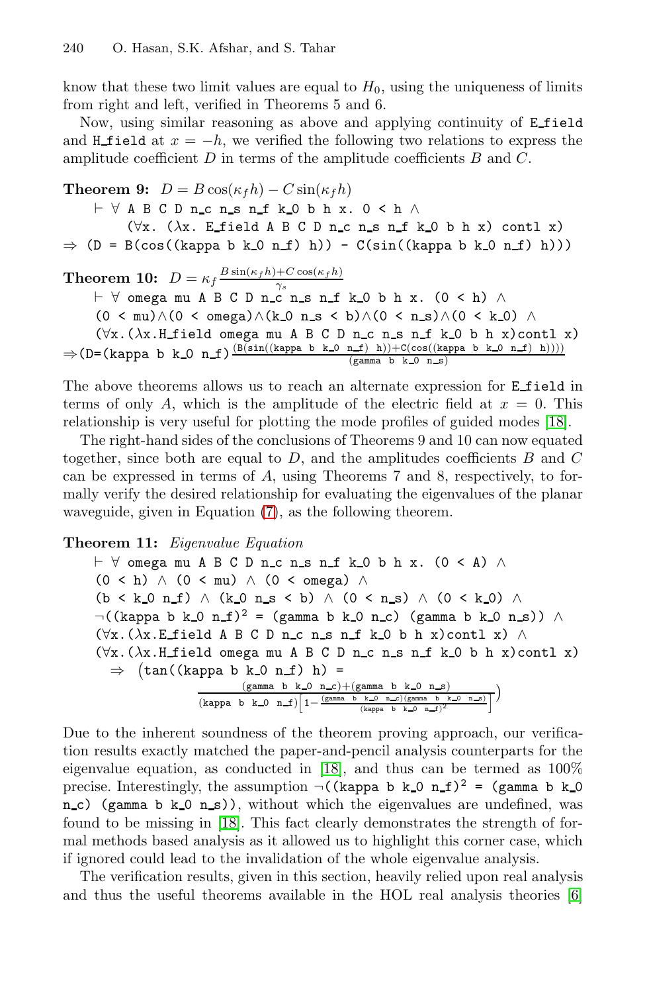know that these two limit values are equal to  $H_0$ , using the uniqueness of limits from right and left, verified in Theorems 5 and 6.

Now, using similar reasoning as above and applying continuity of E field and H field at  $x = -h$ , we verified the following two relations to express the amplitude coefficient  $D$  in terms of the amplitude coefficients  $B$  and  $C$ .

**Theorem 9:**  $D = B \cos(\kappa_f h) - C \sin(\kappa_f h)$ 

- ∀ ABCDn c n s n f k 0 b h x. 0 < h ∧ ( $\forall x$ . ( $\lambda x$ . E\_field A B C D n\_c n\_s n\_f k\_0 b h x) contl x)  $\Rightarrow$  (D = B(cos((kappa b k\_0 n\_f) h)) - C(sin((kappa b k\_0 n\_f) h)))

**Theorem 10:**  $D = \kappa_f \frac{B \sin(\kappa_f h) + C \cos(\kappa_f h)}{\gamma_0}$  $\gamma_s$ 

- ∀ omega muABCDn c n s n f k 0 b h x. (0 < h) ∧ (0 < mu)∧(0 < omega)∧(k\_0 n\_s < b)∧(0 < n\_s)∧(0 < k\_0) ∧<br>
(∀x.( $\lambda$ x.H\_field omega mu A B C D n\_c n\_s n\_f k\_0 b h x)contl x)  $(\forall x. (\lambda x. H\_field \text{omega} \text{ and } B C D n_c c n_c s n_f k_0 b h x)$ contl x)  $\Rightarrow$  (D=(kappa b k\_0 n\_f) $\frac{(B(\sin((\text{kappa b ka-0 n-f}) h)))+C(\cos((\text{kappa b ka-0 n-f}) h))))}{(\text{gamma b k-0 n-s})}$ 

The above theorems allows us to reach an alternate expression for E field in terms of only A, which is the amplitude of the electric field at  $x = 0$ . This relationship is very useful for plotting the mode profiles of guided modes [18].

The right-hand sides of the conclusions of Theorems 9 and 10 can now equated together, since both are equal to  $D$ , and the amplitudes coefficients  $B$  and  $C$ can be expressed in terms of A, using Theorems 7 and 8, respectively, to formally verify the desired relationship for evaluating the eigenvalues of the planar waveguide, given in Equation (7), as the following theorem.

#### **Theorem 11:** *Eigenvalue Equation*

 $\vdash$  ∀ omega mu A B C D n\_c n\_s n\_f k\_0 b h x. (0 < A) ∧  $(0 \le h) \land (0 \le mu) \land (0 \le \text{omega}) \land$  $(b < k_0 n_1) \wedge (k_0 n_2 < b) \wedge (0 < n_3) \wedge (0 < k_0) \wedge$  $\neg((\text{kappa } b k_0 n_f)^2 = (\text{gamma } b k_0 n_c)$  (gamma b k 0 n s)) ∧  $(\forall x. (\lambda x. \text{E-field A B C D n.c n.s n.f k.0 b h x})$  $(\forall x. (\lambda x. \text{E-field A B C D n.c n.s n.f k.0 b h x})$  $(\forall x. (\lambda x. \text{E-field A B C D n.c n.s n.f k.0 b h x})$  contl x)  $\wedge$ (∀x.(λx.H field omega muABCDn c n s n f k 0 b h x)contl x)  $\Rightarrow$   $(\tan((\text{kappa b k.0 n.f}) h) =$  $\frac{\text{(gamma b k_0 n_c)} + \text{(gamma b k_0 n_s)}}{\text{(gamma b k_0 n_c)} \cdot \text{(gamma b k_0 n_c)} \cdot \text{(gamma b k_0 n_s)}}$ (gamma b k 0 n c) + (gamma b k 0 n s)<br>
(kappa b k 0 n f)  $\left[1-\frac{(\text{gamma }b \times 0 \text{ n }-c)(\text{gamma }b \times 0 \text{ n }-c)}{(\text{kappa }b \times 0 \text{ n }-f)^2}\right]$ 

Due to the inherent soundness of the theorem proving approach, our verification results exactly matched the paper-and-pencil analysi[s c](#page-15-2)ounterparts for the eigenvalue equation, as conducted in [18], and thus can be termed as 100% precise. Interestingly, the assumption  $\neg$  ((kappa b k 0 n f)<sup>2</sup> = (gamma b k 0 n c) (gamma b  $k=0$  n s)), without which the eigenvalues are undefined, was found to be missing in [18]. This fact clearly demonstrates the strength of formal methods based analysis as it allowed us to highlight this corner case, which if ignored could lead to the invalidation of the whole eigenvalue analysis.

The verification results, given in this section, heavily relied upon real analysis and thus the useful theorems available in the HOL real analysis theories [6]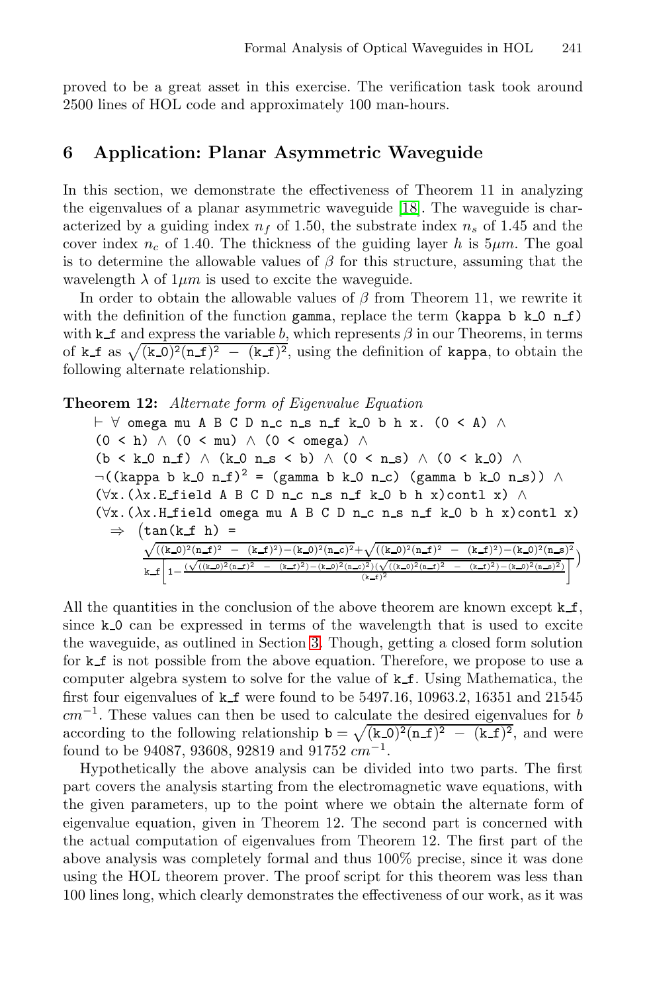proved to be a great asset in this exercise. The verification task took around 2500 lines of HOL code and approximately 100 man-hours.

## **6 Application: Planar Asymmetric Waveguide**

In this section, we demonstrate the effectiveness of Theorem 11 in analyzing the eigenvalues of a planar asymmetric waveguide [18]. The waveguide is characterized by a guiding index  $n_f$  of 1.50, the substrate index  $n_s$  of 1.45 and the cover index  $n_c$  of 1.40. The thickness of the guiding layer h is  $5\mu m$ . The goal is to determine the allowable values of  $\beta$  for this structure, assuming that the wavelength  $\lambda$  of  $1 \mu m$  is used to excite the waveguide.

In order to obtain the allowable values of  $\beta$  from Theorem 11, we rewrite it with the definition of the function gamma, replace the term (kappa b  $k_0$  n f) with k f and express the variable b, which represents  $\beta$  in our Theorems, in terms of k f as  $\sqrt{(k_0)^2(n_f)^2 - (k_f)^2}$ , using the definition of kappa, to obtain the following alternate relationship.

**Theorem 12:** *Alternate form of Eigenvalue Equation*

 $\vdash$  ∀ omega mu A B C D n\_c n\_s n\_f k\_0 b h x. (0 < A) ∧  $(0 \le h) \land (0 \le mu) \land (0 \le \text{omega}) \land$  $(b \lt k 0 \text{ n.f}) \wedge (k 0 \text{ n.s} \lt b) \wedge (0 \lt n s) \wedge (0 \lt k 0) \wedge$  $\neg((\text{kappa } b k.0 n.f)^2 = (\text{gamma } b k.0 n.c)$  (gamma b k 0 n s))  $\wedge$ (∀x.(λx.E f[iel](#page-4-0)d ABCDn c n s n f k 0 b h x)contl x) ∧ (∀x.(λx.H field omega muABCDn c n s n f k 0 b h x)contl x)  $\Rightarrow$   $(\tan(k_f h) =$  $\sqrt{((k_0)^2(n_1\pm)^2 - (k_1\pm)^2)(n_2\pm)^2 + \sqrt{((k_0)^2(n_1\pm)^2 - (k_1\pm)^2)(n_2\pm)^2}}$ k f  $\left[1-\frac{(\sqrt{((\kappa_0))^2(n_-t)^2} - (\kappa_-t)^2)-(\kappa_0)^2(n_-c)^2)(\sqrt{((\kappa_0)^2(n_-t)^2} - (\kappa_-t)^2)-(\kappa_0)^2(n_-s)^2)}{(\kappa_-t)^2}\right]$ 1  $\mathcal{E}$ 

All the quantities in the conclusion of the above theorem are known except  $k.f$ , since k<sub>-0</sub> can be expressed in terms of the wavelength that is used to excite the waveguide, as outlined in Section 3. Though, getting a closed form solution for k f is not possible from the above equation. Therefore, we propose to use a computer algebra system to solve for the value of  $k.f.$  Using Mathematica, the first four eigenvalues of  $k_f$  were found to be 5497.16, 10963.2, 16351 and 21545  $cm^{-1}$ . These values can then be used to calculate the desired eigenvalues for b according to the following relationship  $b = \sqrt{(k_0)^2(n_f)^2 - (k_f)^2}$ , and were found to be 94087, 93608, 92819 and 91752  $cm^{-1}$ .

Hypothetically the above analysis can be divided into two parts. The first part covers the analysis starting from the electromagnetic wave equations, with the given parameters, up to the point where we obtain the alternate form of eigenvalue equation, given in Theorem 12. The second part is concerned with the actual computation of eigenvalues from Theorem 12. The first part of the above analysis was completely formal and thus 100% precise, since it was done using the HOL theorem prover. The proof script for this theorem was less than 100 lines long, which clearly demonstrates the effectiveness of our work, as it was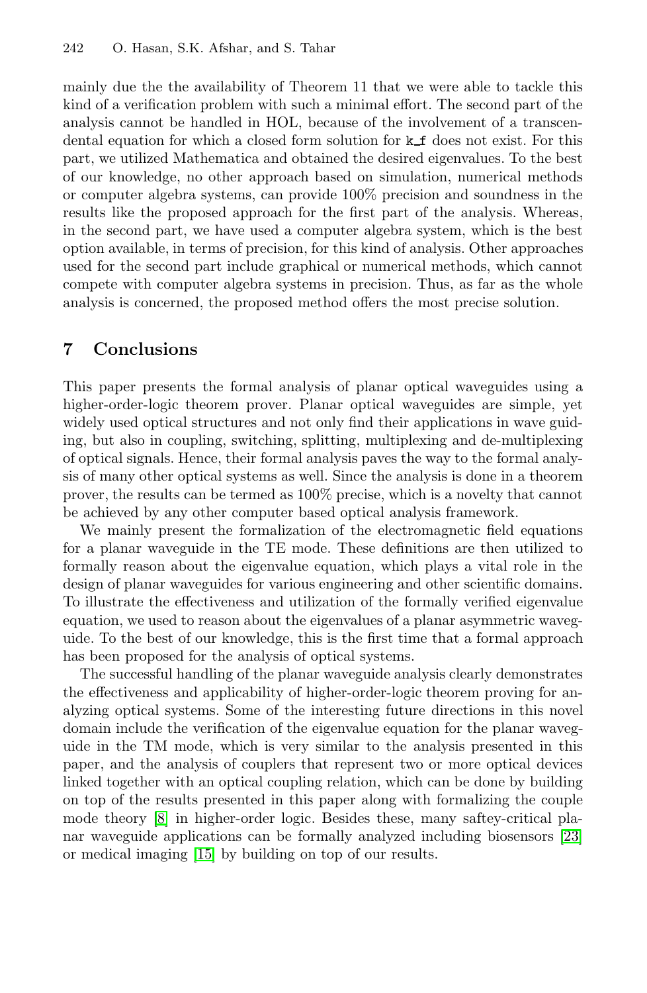<span id="page-14-0"></span>mainly due the the availability of Theorem 11 that we were able to tackle this kind of a verification problem with such a minimal effort. The second part of the analysis cannot be handled in HOL, because of the involvement of a transcendental equation for which a closed form solution for  $k_f$  does not exist. For this part, we utilized Mathematica and obtained the desired eigenvalues. To the best of our knowledge, no other approach based on simulation, numerical methods or computer algebra systems, can provide 100% precision and soundness in the results like the proposed approach for the first part of the analysis. Whereas, in the second part, we have used a computer algebra system, which is the best option available, in terms of precision, for this kind of analysis. Other approaches used for the second part include graphical or numerical methods, which cannot compete with computer algebra systems in precision. Thus, as far as the whole analysis is concerned, the proposed method offers the most precise solution.

# **7 Conclusions**

This paper presents the formal analysis of planar optical waveguides using a higher-order-logic theorem prover. Planar optical waveguides are simple, yet widely used optical structures and not only find their applications in wave guiding, but also in coupling, switching, splitting, multiplexing and de-multiplexing of optical signals. Hence, their formal analysis paves the way to the formal analysis of many other optical systems as well. Since the analysis is done in a theorem prover, the results can be termed as 100% precise, which is a novelty that cannot be achieved by any other computer based optical analysis framework.

We mainly present the formalization of the electromagnetic field equations for a planar waveguide in the TE mode. These definitions are then utilized to formally reason about the eigenvalue equation, which plays a vital role in the design of planar waveguides for various engineering and other scientific domains. To illustrate the effectiveness and utilization of the formally verified eigenvalue equation, we used to reason about the eigenvalues of a planar asymmetric waveguide. To the best of our knowledge, this is the first time that a formal approach has been proposed for the analysis of optical systems.

The successful handling of the planar waveguide analysis clearly demonstrates the effectiveness and applicability of higher-order-logic t[heor](#page-15-16)em proving for ana[lyzi](#page-15-17)ng optical systems. Some of the interesting future directions in this novel domain include the verification of the eigenvalue equation for the planar waveguide in the TM mode, which is very similar to the analysis presented in this paper, and the analysis of couplers that represent two or more optical devices linked together with an optical coupling relation, which can be done by building on top of the results presented in this paper along with formalizing the couple mode theory [8] in higher-order logic. Besides these, many saftey-critical planar waveguide applications can be formally analyzed including biosensors [23] or medical imaging [15] by building on top of our results.